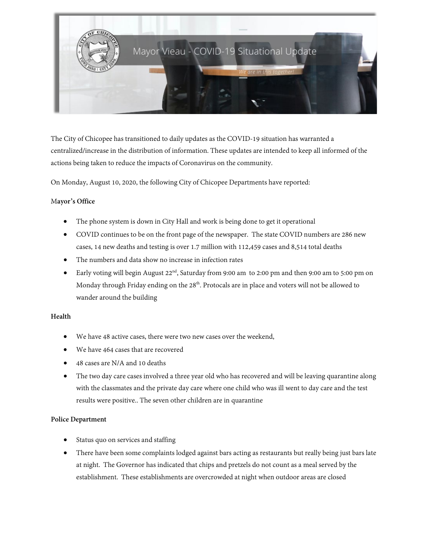

The City of Chicopee has transitioned to daily updates as the COVID-19 situation has warranted a centralized/increase in the distribution of information. These updates are intended to keep all informed of the actions being taken to reduce the impacts of Coronavirus on the community.

On Monday, August 10, 2020, the following City of Chicopee Departments have reported:

## M**ayor's Office**

- The phone system is down in City Hall and work is being done to get it operational
- COVID continues to be on the front page of the newspaper. The state COVID numbers are 286 new cases, 14 new deaths and testing is over 1.7 million with 112,459 cases and 8,514 total deaths
- The numbers and data show no increase in infection rates
- Early voting will begin August 22<sup>nd</sup>, Saturday from 9:00 am to 2:00 pm and then 9:00 am to 5:00 pm on Monday through Friday ending on the  $28<sup>th</sup>$ . Protocals are in place and voters will not be allowed to wander around the building

#### **Health**

- We have 48 active cases, there were two new cases over the weekend,
- We have 464 cases that are recovered
- 48 cases are N/A and 10 deaths
- The two day care cases involved a three year old who has recovered and will be leaving quarantine along with the classmates and the private day care where one child who was ill went to day care and the test results were positive.. The seven other children are in quarantine

#### **Police Department**

- Status quo on services and staffing
- There have been some complaints lodged against bars acting as restaurants but really being just bars late at night. The Governor has indicated that chips and pretzels do not count as a meal served by the establishment. These establishments are overcrowded at night when outdoor areas are closed